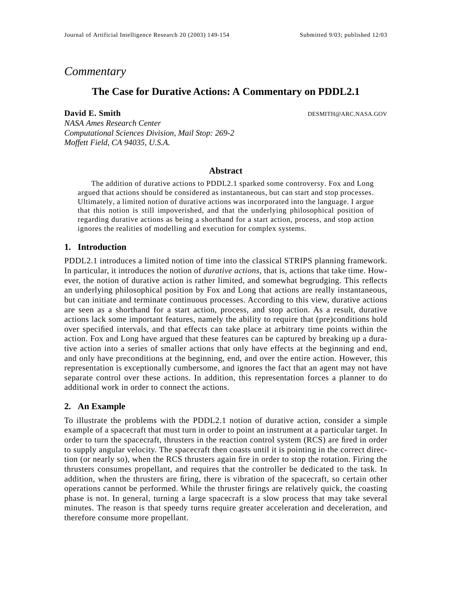# *Commentary*

## **The Case for Durative Actions: A Commentary on PDDL2.1**

**David E. Smith** DESMITH@ARC.NASA.GOV

*NASA Ames Research Center Computational Sciences Division, Mail Stop: 269-2 Moffett Field, CA 94035, U.S.A.*

## **Abstract**

The addition of durative actions to PDDL2.1 sparked some controversy. Fox and Long argued that actions should be considered as instantaneous, but can start and stop processes. Ultimately, a limited notion of durative actions was incorporated into the language. I argue that this notion is still impoverished, and that the underlying philosophical position of regarding durative actions as being a shorthand for a start action, process, and stop action ignores the realities of modelling and execution for complex systems.

#### **1. Introduction**

PDDL2.1 introduces a limited notion of time into the classical STRIPS planning framework. In particular, it introduces the notion of *durative actions*, that is, actions that take time. However, the notion of durative action is rather limited, and somewhat begrudging. This reflects an underlying philosophical position by Fox and Long that actions are really instantaneous, but can initiate and terminate continuous processes. According to this view, durative actions are seen as a shorthand for a start action, process, and stop action. As a result, durative actions lack some important features, namely the ability to require that (pre)conditions hold over specified intervals, and that effects can take place at arbitrary time points within the action. Fox and Long have argued that these features can be captured by breaking up a durative action into a series of smaller actions that only have effects at the beginning and end, and only have preconditions at the beginning, end, and over the entire action. However, this representation is exceptionally cumbersome, and ignores the fact that an agent may not have separate control over these actions. In addition, this representation forces a planner to do additional work in order to connect the actions.

## **2. An Example**

To illustrate the problems with the PDDL2.1 notion of durative action, consider a simple example of a spacecraft that must turn in order to point an instrument at a particular target. In order to turn the spacecraft, thrusters in the reaction control system (RCS) are fired in order to supply angular velocity. The spacecraft then coasts until it is pointing in the correct direction (or nearly so), when the RCS thrusters again fire in order to stop the rotation. Firing the thrusters consumes propellant, and requires that the controller be dedicated to the task. In addition, when the thrusters are firing, there is vibration of the spacecraft, so certain other operations cannot be performed. While the thruster firings are relatively quick, the coasting phase is not. In general, turning a large spacecraft is a slow process that may take several minutes. The reason is that speedy turns require greater acceleration and deceleration, and therefore consume more propellant.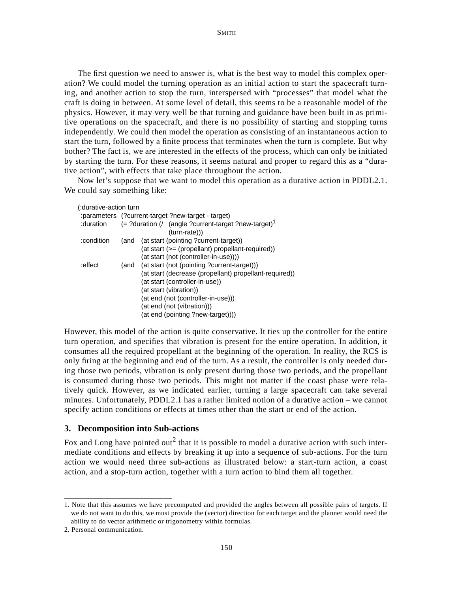The first question we need to answer is, what is the best way to model this complex operation? We could model the turning operation as an initial action to start the spacecraft turning, and another action to stop the turn, interspersed with "processes" that model what the craft is doing in between. At some level of detail, this seems to be a reasonable model of the physics. However, it may very well be that turning and guidance have been built in as primitive operations on the spacecraft, and there is no possibility of starting and stopping turns independently. We could then model the operation as consisting of an instantaneous action to start the turn, followed by a finite process that terminates when the turn is complete. But why bother? The fact is, we are interested in the effects of the process, which can only be initiated by starting the turn. For these reasons, it seems natural and proper to regard this as a "durative action", with effects that take place throughout the action.

Now let's suppose that we want to model this operation as a durative action in PDDL2.1. We could say something like:

| durative-action turn:) |                                                                  |                                                        |  |  |
|------------------------|------------------------------------------------------------------|--------------------------------------------------------|--|--|
|                        | :parameters (?current-target ?new-target - target)               |                                                        |  |  |
| :duration              | (= ?duration (/ (angle ?current-target ?new-target) <sup>1</sup> |                                                        |  |  |
|                        |                                                                  | $(turn-rate)$ )                                        |  |  |
| :condition             | (and                                                             | (at start (pointing ?current-target))                  |  |  |
|                        |                                                                  | (at start (>= (propellant) propellant-required))       |  |  |
|                        |                                                                  | (at start (not (controller-in-use))))                  |  |  |
| :effect                | (and                                                             | (at start (not (pointing ?current-target)))            |  |  |
|                        |                                                                  | (at start (decrease (propellant) propellant-required)) |  |  |
|                        |                                                                  | (at start (controller-in-use))                         |  |  |
|                        |                                                                  | (at start (vibration))                                 |  |  |
|                        |                                                                  | (at end (not (controller-in-use)))                     |  |  |
|                        |                                                                  | (at end (not (vibration)))                             |  |  |
|                        |                                                                  | (at end (pointing ?new-target))))                      |  |  |

However, this model of the action is quite conservative. It ties up the controller for the entire turn operation, and specifies that vibration is present for the entire operation. In addition, it consumes all the required propellant at the beginning of the operation. In reality, the RCS is only firing at the beginning and end of the turn. As a result, the controller is only needed during those two periods, vibration is only present during those two periods, and the propellant is consumed during those two periods. This might not matter if the coast phase were relatively quick. However, as we indicated earlier, turning a large spacecraft can take several minutes. Unfortunately, PDDL2.1 has a rather limited notion of a durative action – we cannot specify action conditions or effects at times other than the start or end of the action.

## **3. Decomposition into Sub-actions**

Fox and Long have pointed out<sup>2</sup> that it is possible to model a durative action with such intermediate conditions and effects by breaking it up into a sequence of sub-actions. For the turn action we would need three sub-actions as illustrated below: a start-turn action, a coast action, and a stop-turn action, together with a turn action to bind them all together.

<sup>1.</sup> Note that this assumes we have precomputed and provided the angles between all possible pairs of targets. If we do not want to do this, we must provide the (vector) direction for each target and the planner would need the ability to do vector arithmetic or trigonometry within formulas.

<sup>2.</sup> Personal communication.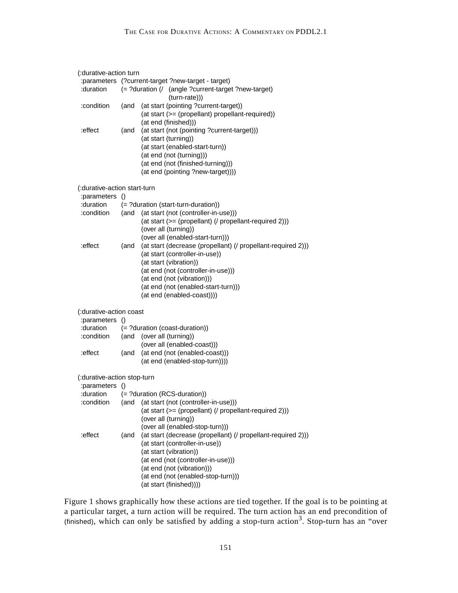| (:durative-action turn       |                  |                                                                  |  |  |  |
|------------------------------|------------------|------------------------------------------------------------------|--|--|--|
|                              |                  | :parameters (?current-target ?new-target - target)               |  |  |  |
| :duration                    |                  | (= ?duration (/ (angle ?current-target ?new-target)              |  |  |  |
|                              |                  | $(turn-rate))$                                                   |  |  |  |
| :condition                   | (and             | (at start (pointing ?current-target))                            |  |  |  |
|                              |                  | (at start (>= (propellant) propellant-required))                 |  |  |  |
|                              |                  | (at end (finished)))                                             |  |  |  |
| :effect                      | (and             | (at start (not (pointing ?current-target)))                      |  |  |  |
|                              |                  | (at start (turning))                                             |  |  |  |
|                              |                  | (at start (enabled-start-turn))                                  |  |  |  |
|                              |                  | (at end (not (turning)))<br>(at end (not (finished-turning)))    |  |  |  |
|                              |                  | (at end (pointing ?new-target))))                                |  |  |  |
|                              |                  |                                                                  |  |  |  |
| (:durative-action start-turn |                  |                                                                  |  |  |  |
| :parameters                  | $\left( \right)$ |                                                                  |  |  |  |
| :duration                    |                  | (= ?duration (start-turn-duration))                              |  |  |  |
| :condition                   |                  | (and (at start (not (controller-in-use)))                        |  |  |  |
|                              |                  | (at start (>= (propellant) (/ propellant-required 2)))           |  |  |  |
|                              |                  | (over all (turning))                                             |  |  |  |
|                              |                  | (over all (enabled-start-turn)))                                 |  |  |  |
| :effect                      | (and             | (at start (decrease (propellant) (/ propellant-required 2)))     |  |  |  |
|                              |                  | (at start (controller-in-use))                                   |  |  |  |
|                              |                  | (at start (vibration))                                           |  |  |  |
|                              |                  | (at end (not (controller-in-use)))                               |  |  |  |
|                              |                  | (at end (not (vibration)))                                       |  |  |  |
|                              |                  | (at end (not (enabled-start-turn)))                              |  |  |  |
|                              |                  | (at end (enabled-coast))))                                       |  |  |  |
| :durative-action coast       |                  |                                                                  |  |  |  |
| :parameters ()               |                  |                                                                  |  |  |  |
| :duration                    |                  | (= ?duration (coast-duration))                                   |  |  |  |
| :condition                   |                  | (and (over all (turning))                                        |  |  |  |
|                              |                  | (over all (enabled-coast)))                                      |  |  |  |
| :effect                      | (and             | (at end (not (enabled-coast)))                                   |  |  |  |
|                              |                  | (at end (enabled-stop-turn))))                                   |  |  |  |
|                              |                  |                                                                  |  |  |  |
| (:durative-action stop-turn  |                  |                                                                  |  |  |  |
| :parameters ()               |                  |                                                                  |  |  |  |
| :duration                    |                  | (= ?duration (RCS-duration))                                     |  |  |  |
| :condition                   |                  | (and (at start (not (controller-in-use)))                        |  |  |  |
|                              |                  | (at start (>= (propellant) (/ propellant-required 2)))           |  |  |  |
|                              |                  | (over all (turning))                                             |  |  |  |
|                              |                  | (over all (enabled-stop-turn)))                                  |  |  |  |
| :effect                      | (and             | (at start (decrease (propellant) (/ propellant-required 2)))     |  |  |  |
|                              |                  | (at start (controller-in-use))                                   |  |  |  |
|                              |                  | (at start (vibration))                                           |  |  |  |
|                              |                  | (at end (not (controller-in-use)))<br>(at end (not (vibration))) |  |  |  |
|                              |                  | (at end (not (enabled-stop-turn)))                               |  |  |  |
|                              |                  | (at start (finished))))                                          |  |  |  |
|                              |                  |                                                                  |  |  |  |

Figure 1 shows graphically how these actions are tied together. If the goal is to be pointing at a particular target, a turn action will be required. The turn action has an end precondition of (finished), which can only be satisfied by adding a stop-turn action<sup>3</sup>. Stop-turn has an "over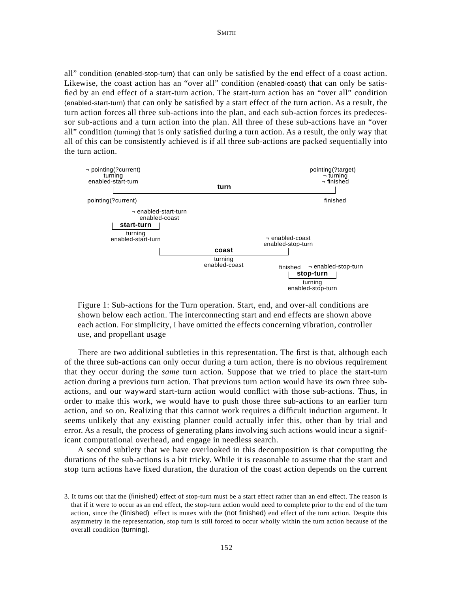all" condition (enabled-stop-turn) that can only be satisfied by the end effect of a coast action. Likewise, the coast action has an "over all" condition (enabled-coast) that can only be satisfied by an end effect of a start-turn action. The start-turn action has an "over all" condition (enabled-start-turn) that can only be satisfied by a start effect of the turn action. As a result, the turn action forces all three sub-actions into the plan, and each sub-action forces its predecessor sub-actions and a turn action into the plan. All three of these sub-actions have an "over all" condition (turning) that is only satisfied during a turn action. As a result, the only way that all of this can be consistently achieved is if all three sub-actions are packed sequentially into the turn action.



Figure 1: Sub-actions for the Turn operation. Start, end, and over-all conditions are shown below each action. The interconnecting start and end effects are shown above each action. For simplicity, I have omitted the effects concerning vibration, controller use, and propellant usage

There are two additional subtleties in this representation. The first is that, although each of the three sub-actions can only occur during a turn action, there is no obvious requirement that they occur during the *same* turn action. Suppose that we tried to place the start-turn action during a previous turn action. That previous turn action would have its own three subactions, and our wayward start-turn action would conflict with those sub-actions. Thus, in order to make this work, we would have to push those three sub-actions to an earlier turn action, and so on. Realizing that this cannot work requires a difficult induction argument. It seems unlikely that any existing planner could actually infer this, other than by trial and error. As a result, the process of generating plans involving such actions would incur a significant computational overhead, and engage in needless search.

A second subtlety that we have overlooked in this decomposition is that computing the durations of the sub-actions is a bit tricky. While it is reasonable to assume that the start and stop turn actions have fixed duration, the duration of the coast action depends on the current

<sup>3.</sup> It turns out that the (finished) effect of stop-turn must be a start effect rather than an end effect. The reason is that if it were to occur as an end effect, the stop-turn action would need to complete prior to the end of the turn action, since the (finished) effect is mutex with the (not finished) end effect of the turn action. Despite this asymmetry in the representation, stop turn is still forced to occur wholly within the turn action because of the overall condition (turning).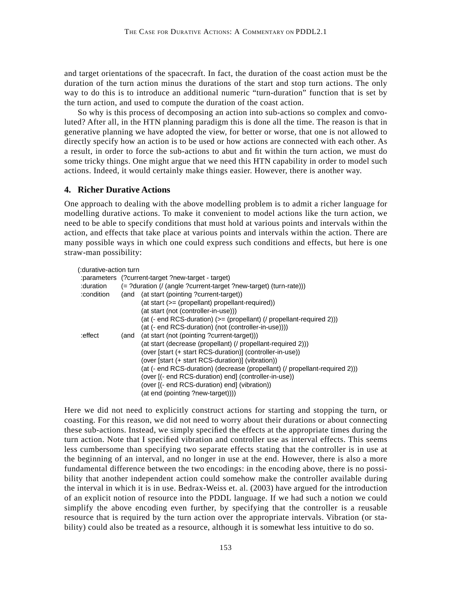and target orientations of the spacecraft. In fact, the duration of the coast action must be the duration of the turn action minus the durations of the start and stop turn actions. The only way to do this is to introduce an additional numeric "turn-duration" function that is set by the turn action, and used to compute the duration of the coast action.

So why is this process of decomposing an action into sub-actions so complex and convoluted? After all, in the HTN planning paradigm this is done all the time. The reason is that in generative planning we have adopted the view, for better or worse, that one is not allowed to directly specify how an action is to be used or how actions are connected with each other. As a result, in order to force the sub-actions to abut and fit within the turn action, we must do some tricky things. One might argue that we need this HTN capability in order to model such actions. Indeed, it would certainly make things easier. However, there is another way.

## **4. Richer Durative Actions**

One approach to dealing with the above modelling problem is to admit a richer language for modelling durative actions. To make it convenient to model actions like the turn action, we need to be able to specify conditions that must hold at various points and intervals within the action, and effects that take place at various points and intervals within the action. There are many possible ways in which one could express such conditions and effects, but here is one straw-man possibility:

| durative-action turn |                                                                   |                                                                             |  |  |  |
|----------------------|-------------------------------------------------------------------|-----------------------------------------------------------------------------|--|--|--|
|                      | :parameters (?current-target ?new-target - target)                |                                                                             |  |  |  |
| :duration            | (= ?duration (/ (angle ?current-target ?new-target) (turn-rate))) |                                                                             |  |  |  |
| :condition           | (and                                                              | (at start (pointing ?current-target))                                       |  |  |  |
|                      |                                                                   | (at start (>= (propellant) propellant-required))                            |  |  |  |
|                      |                                                                   | (at start (not (controller-in-use)))                                        |  |  |  |
|                      |                                                                   | (at (- end RCS-duration) (>= (propellant) (/ propellant-required 2)))       |  |  |  |
|                      |                                                                   | (at (- end RCS-duration) (not (controller-in-use))))                        |  |  |  |
| :effect              | (and                                                              | (at start (not (pointing ?current-target)))                                 |  |  |  |
|                      |                                                                   | (at start (decrease (propellant) (/ propellant-required 2)))                |  |  |  |
|                      |                                                                   | (over [start (+ start RCS-duration)] (controller-in-use))                   |  |  |  |
|                      |                                                                   | (over [start (+ start RCS-duration)] (vibration))                           |  |  |  |
|                      |                                                                   | (at (- end RCS-duration) (decrease (propellant) (/ propellant-required 2))) |  |  |  |
|                      |                                                                   | (over [(- end RCS-duration) end] (controller-in-use))                       |  |  |  |
|                      |                                                                   | (over [(- end RCS-duration) end] (vibration))                               |  |  |  |
|                      |                                                                   | (at end (pointing ?new-target)))                                            |  |  |  |

Here we did not need to explicitly construct actions for starting and stopping the turn, or coasting. For this reason, we did not need to worry about their durations or about connecting these sub-actions. Instead, we simply specified the effects at the appropriate times during the turn action. Note that I specified vibration and controller use as interval effects. This seems less cumbersome than specifying two separate effects stating that the controller is in use at the beginning of an interval, and no longer in use at the end. However, there is also a more fundamental difference between the two encodings: in the encoding above, there is no possibility that another independent action could somehow make the controller available during the interval in which it is in use. Bedrax-Weiss et. al. (2003) have argued for the introduction of an explicit notion of resource into the PDDL language. If we had such a notion we could simplify the above encoding even further, by specifying that the controller is a reusable resource that is required by the turn action over the appropriate intervals. Vibration (or stability) could also be treated as a resource, although it is somewhat less intuitive to do so.